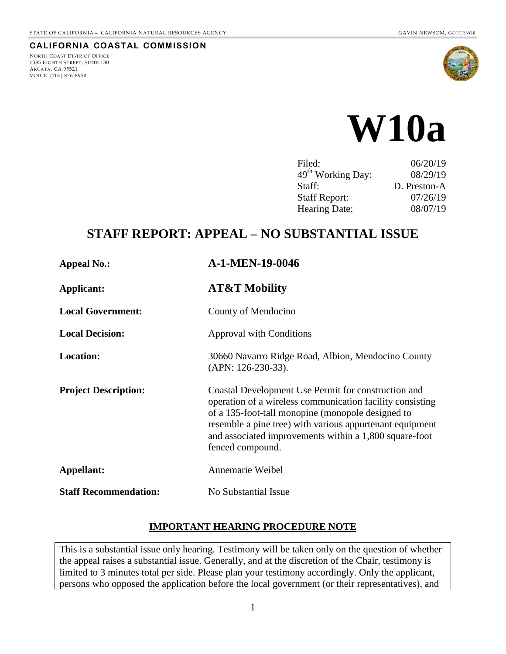#### **CALIFORNIA COASTAL COMMISSION**

NORTH COAST DISTRICT OFFICE 1385 EIGHTH STREET, SUITE 130 ARCATA, CA 95521 VOICE (707) 826-8950



# **W10a**

| 06/20/19     |
|--------------|
| 08/29/19     |
| D. Preston-A |
| 07/26/19     |
| 08/07/19     |
|              |

# **STAFF REPORT: APPEAL – NO SUBSTANTIAL ISSUE**

| <b>Appeal No.:</b>           | A-1-MEN-19-0046                                                                                                                                                                                                                                                                                                 |
|------------------------------|-----------------------------------------------------------------------------------------------------------------------------------------------------------------------------------------------------------------------------------------------------------------------------------------------------------------|
| <b>Applicant:</b>            | <b>AT&amp;T Mobility</b>                                                                                                                                                                                                                                                                                        |
| <b>Local Government:</b>     | County of Mendocino                                                                                                                                                                                                                                                                                             |
| <b>Local Decision:</b>       | <b>Approval with Conditions</b>                                                                                                                                                                                                                                                                                 |
| <b>Location:</b>             | 30660 Navarro Ridge Road, Albion, Mendocino County<br>(APN: 126-230-33).                                                                                                                                                                                                                                        |
| <b>Project Description:</b>  | Coastal Development Use Permit for construction and<br>operation of a wireless communication facility consisting<br>of a 135-foot-tall monopine (monopole designed to<br>resemble a pine tree) with various appurtenant equipment<br>and associated improvements within a 1,800 square-foot<br>fenced compound. |
| Appellant:                   | Annemarie Weibel                                                                                                                                                                                                                                                                                                |
| <b>Staff Recommendation:</b> | No Substantial Issue                                                                                                                                                                                                                                                                                            |
|                              |                                                                                                                                                                                                                                                                                                                 |

## **IMPORTANT HEARING PROCEDURE NOTE**

This is a substantial issue only hearing. Testimony will be taken only on the question of whether the appeal raises a substantial issue. Generally, and at the discretion of the Chair, testimony is limited to 3 minutes total per side. Please plan your testimony accordingly. Only the applicant, persons who opposed the application before the local government (or their representatives), and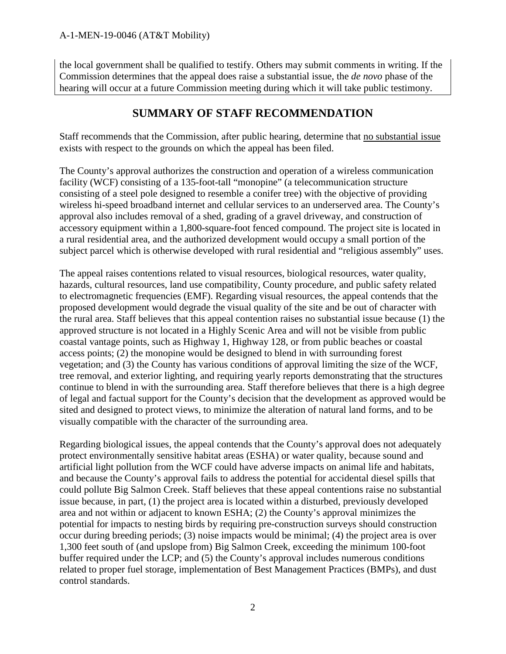the local government shall be qualified to testify. Others may submit comments in writing. If the Commission determines that the appeal does raise a substantial issue, the *de novo* phase of the hearing will occur at a future Commission meeting during which it will take public testimony.

## **SUMMARY OF STAFF RECOMMENDATION**

Staff recommends that the Commission, after public hearing, determine that no substantial issue exists with respect to the grounds on which the appeal has been filed.

The County's approval authorizes the construction and operation of a wireless communication facility (WCF) consisting of a 135-foot-tall "monopine" (a telecommunication structure consisting of a steel pole designed to resemble a conifer tree) with the objective of providing wireless hi-speed broadband internet and cellular services to an underserved area. The County's approval also includes removal of a shed, grading of a gravel driveway, and construction of accessory equipment within a 1,800-square-foot fenced compound. The project site is located in a rural residential area, and the authorized development would occupy a small portion of the subject parcel which is otherwise developed with rural residential and "religious assembly" uses.

The appeal raises contentions related to visual resources, biological resources, water quality, hazards, cultural resources, land use compatibility, County procedure, and public safety related to electromagnetic frequencies (EMF). Regarding visual resources, the appeal contends that the proposed development would degrade the visual quality of the site and be out of character with the rural area. Staff believes that this appeal contention raises no substantial issue because (1) the approved structure is not located in a Highly Scenic Area and will not be visible from public coastal vantage points, such as Highway 1, Highway 128, or from public beaches or coastal access points; (2) the monopine would be designed to blend in with surrounding forest vegetation; and (3) the County has various conditions of approval limiting the size of the WCF, tree removal, and exterior lighting, and requiring yearly reports demonstrating that the structures continue to blend in with the surrounding area. Staff therefore believes that there is a high degree of legal and factual support for the County's decision that the development as approved would be sited and designed to protect views, to minimize the alteration of natural land forms, and to be visually compatible with the character of the surrounding area.

Regarding biological issues, the appeal contends that the County's approval does not adequately protect environmentally sensitive habitat areas (ESHA) or water quality, because sound and artificial light pollution from the WCF could have adverse impacts on animal life and habitats, and because the County's approval fails to address the potential for accidental diesel spills that could pollute Big Salmon Creek. Staff believes that these appeal contentions raise no substantial issue because, in part, (1) the project area is located within a disturbed, previously developed area and not within or adjacent to known ESHA; (2) the County's approval minimizes the potential for impacts to nesting birds by requiring pre-construction surveys should construction occur during breeding periods; (3) noise impacts would be minimal; (4) the project area is over 1,300 feet south of (and upslope from) Big Salmon Creek, exceeding the minimum 100-foot buffer required under the LCP; and (5) the County's approval includes numerous conditions related to proper fuel storage, implementation of Best Management Practices (BMPs), and dust control standards.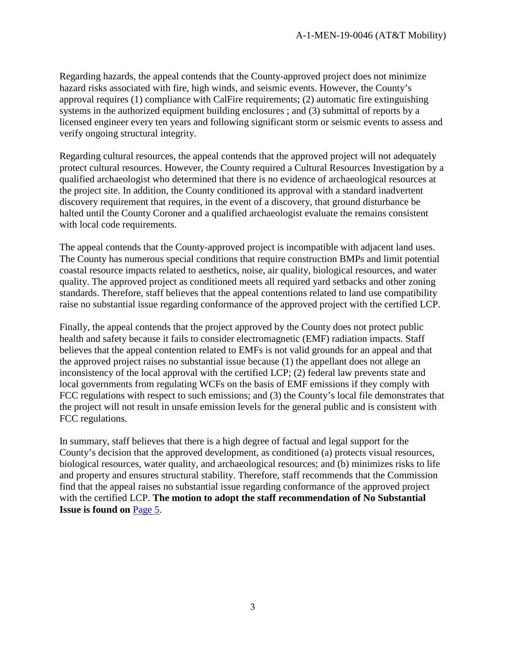Regarding hazards, the appeal contends that the County-approved project does not minimize hazard risks associated with fire, high winds, and seismic events. However, the County's approval requires (1) compliance with CalFire requirements; (2) automatic fire extinguishing systems in the authorized equipment building enclosures ; and (3) submittal of reports by a licensed engineer every ten years and following significant storm or seismic events to assess and verify ongoing structural integrity.

Regarding cultural resources, the appeal contends that the approved project will not adequately protect cultural resources. However, the County required a Cultural Resources Investigation by a qualified archaeologist who determined that there is no evidence of archaeological resources at the project site. In addition, the County conditioned its approval with a standard inadvertent discovery requirement that requires, in the event of a discovery, that ground disturbance be halted until the County Coroner and a qualified archaeologist evaluate the remains consistent with local code requirements.

The appeal contends that the County-approved project is incompatible with adjacent land uses. The County has numerous special conditions that require construction BMPs and limit potential coastal resource impacts related to aesthetics, noise, air quality, biological resources, and water quality. The approved project as conditioned meets all required yard setbacks and other zoning standards. Therefore, staff believes that the appeal contentions related to land use compatibility raise no substantial issue regarding conformance of the approved project with the certified LCP.

Finally, the appeal contends that the project approved by the County does not protect public health and safety because it fails to consider electromagnetic (EMF) radiation impacts. Staff believes that the appeal contention related to EMFs is not valid grounds for an appeal and that the approved project raises no substantial issue because (1) the appellant does not allege an inconsistency of the local approval with the certified LCP; (2) federal law prevents state and local governments from regulating WCFs on the basis of EMF emissions if they comply with FCC regulations with respect to such emissions; and (3) the County's local file demonstrates that the project will not result in unsafe emission levels for the general public and is consistent with FCC regulations.

In summary, staff believes that there is a high degree of factual and legal support for the County's decision that the approved development, as conditioned (a) protects visual resources, biological resources, water quality, and archaeological resources; and (b) minimizes risks to life and property and ensures structural stability. Therefore, staff recommends that the Commission find that the appeal raises no substantial issue regarding conformance of the approved project with the certified LCP. **The motion to adopt the staff recommendation of No Substantial Issue is found on** [Page 5.](#page-4-0)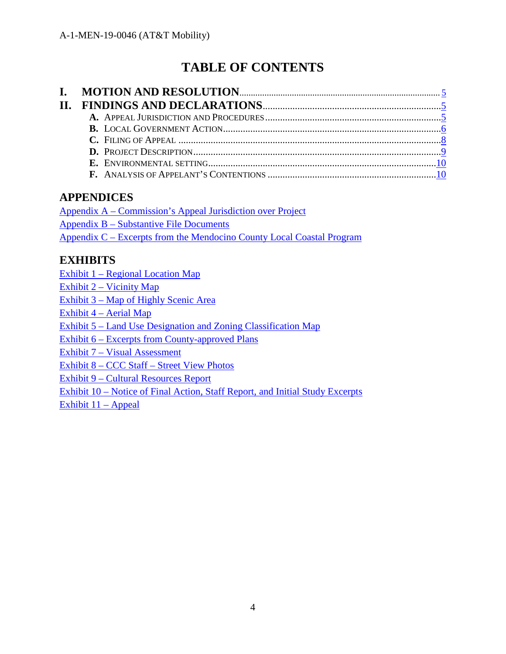# **TABLE OF CONTENTS**

## **APPENDICES**

[Appendix A – Commission's Appeal Jurisdiction over Project](https://documents.coastal.ca.gov/reports/2019/8/W10a/W10a-8-2019-appendix.pdf) [Appendix B – Substantive File Documents](https://documents.coastal.ca.gov/reports/2019/8/W10a/W10a-8-2019-appendix.pdf) [Appendix C – Excerpts from the Mendocino County Local Coastal Program](https://documents.coastal.ca.gov/reports/2019/8/W10a/W10a-8-2019-appendix.pdf)

## **EXHIBITS**

[Exhibit 1 – Regional Location Map](https://documents.coastal.ca.gov/reports/2019/8/W10a/W10a-8-2019-exhibits.pdf)

[Exhibit 2 – Vicinity Map](https://documents.coastal.ca.gov/reports/2019/8/W10a/W10a-8-2019-exhibits.pdf)

[Exhibit 3 – Map of Highly Scenic Area](https://documents.coastal.ca.gov/reports/2019/8/W10a/W10a-8-2019-exhibits.pdf)

[Exhibit 4 – Aerial Map](https://documents.coastal.ca.gov/reports/2019/8/W10a/W10a-8-2019-exhibits.pdf)

[Exhibit 5 – Land Use Designation and Zoning Classification](https://documents.coastal.ca.gov/reports/2019/8/W10a/W10a-8-2019-exhibits.pdf) Map

[Exhibit 6 – Excerpts from County-approved Plans](https://documents.coastal.ca.gov/reports/2019/8/W10a/W10a-8-2019-exhibits.pdf) 

[Exhibit 7 – Visual Assessment](https://documents.coastal.ca.gov/reports/2019/8/W10a/W10a-8-2019-exhibits.pdf)

[Exhibit 8 – CCC Staff – Street View Photos](https://documents.coastal.ca.gov/reports/2019/8/W10a/W10a-8-2019-exhibits.pdf)

[Exhibit 9 – Cultural Resources Report](https://documents.coastal.ca.gov/reports/2019/8/W10a/W10a-8-2019-exhibits.pdf)

[Exhibit 10 – Notice of Final Action, Staff Report, and Initial Study Excerpts](https://documents.coastal.ca.gov/reports/2019/8/W10a/W10a-8-2019-exhibits.pdf)

[Exhibit 11 – Appeal](https://documents.coastal.ca.gov/reports/2019/8/W10a/W10a-8-2019-exhibits.pdf)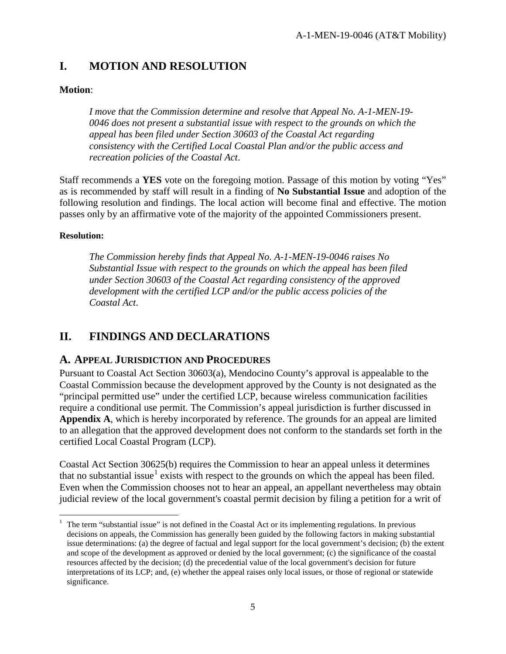## <span id="page-4-0"></span>**I. MOTION AND RESOLUTION**

## **Motion**:

*I move that the Commission determine and resolve that Appeal No. A-1-MEN-19- 0046 does not present a substantial issue with respect to the grounds on which the appeal has been filed under Section 30603 of the Coastal Act regarding consistency with the Certified Local Coastal Plan and/or the public access and recreation policies of the Coastal Act*.

Staff recommends a **YES** vote on the foregoing motion. Passage of this motion by voting "Yes" as is recommended by staff will result in a finding of **No Substantial Issue** and adoption of the following resolution and findings. The local action will become final and effective. The motion passes only by an affirmative vote of the majority of the appointed Commissioners present.

## **Resolution:**

 $\overline{a}$ 

*The Commission hereby finds that Appeal No. A-1-MEN-19-0046 raises No Substantial Issue with respect to the grounds on which the appeal has been filed under Section 30603 of the Coastal Act regarding consistency of the approved development with the certified LCP and/or the public access policies of the Coastal Act*.

## <span id="page-4-1"></span>**II. FINDINGS AND DECLARATIONS**

## <span id="page-4-2"></span>**A. APPEAL JURISDICTION AND PROCEDURES**

Pursuant to Coastal Act Section 30603(a), Mendocino County's approval is appealable to the Coastal Commission because the development approved by the County is not designated as the "principal permitted use" under the certified LCP, because wireless communication facilities require a conditional use permit. The Commission's appeal jurisdiction is further discussed in **Appendix A**, which is hereby incorporated by reference. The grounds for an appeal are limited to an allegation that the approved development does not conform to the standards set forth in the certified Local Coastal Program (LCP).

Coastal Act Section 30625(b) requires the Commission to hear an appeal unless it determines that no substantial issue<sup>[1](#page-4-3)</sup> exists with respect to the grounds on which the appeal has been filed. Even when the Commission chooses not to hear an appeal, an appellant nevertheless may obtain judicial review of the local government's coastal permit decision by filing a petition for a writ of

<span id="page-4-3"></span><sup>1</sup> The term "substantial issue" is not defined in the Coastal Act or its implementing regulations. In previous decisions on appeals, the Commission has generally been guided by the following factors in making substantial issue determinations: (a) the degree of factual and legal support for the local government's decision; (b) the extent and scope of the development as approved or denied by the local government; (c) the significance of the coastal resources affected by the decision; (d) the precedential value of the local government's decision for future interpretations of its LCP; and, (e) whether the appeal raises only local issues, or those of regional or statewide significance.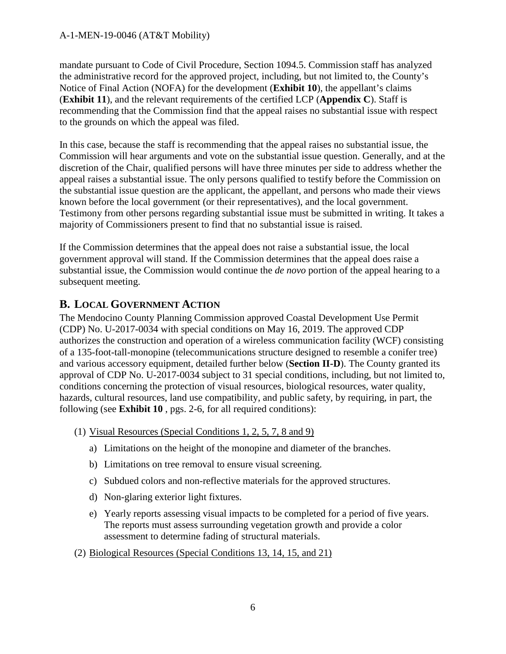mandate pursuant to Code of Civil Procedure, Section 1094.5. Commission staff has analyzed the administrative record for the approved project, including, but not limited to, the County's Notice of Final Action (NOFA) for the development (**Exhibit 10**), the appellant's claims (**Exhibit 11**), and the relevant requirements of the certified LCP (**Appendix C**). Staff is recommending that the Commission find that the appeal raises no substantial issue with respect to the grounds on which the appeal was filed.

In this case, because the staff is recommending that the appeal raises no substantial issue, the Commission will hear arguments and vote on the substantial issue question. Generally, and at the discretion of the Chair, qualified persons will have three minutes per side to address whether the appeal raises a substantial issue. The only persons qualified to testify before the Commission on the substantial issue question are the applicant, the appellant, and persons who made their views known before the local government (or their representatives), and the local government. Testimony from other persons regarding substantial issue must be submitted in writing. It takes a majority of Commissioners present to find that no substantial issue is raised.

If the Commission determines that the appeal does not raise a substantial issue, the local government approval will stand. If the Commission determines that the appeal does raise a substantial issue, the Commission would continue the *de novo* portion of the appeal hearing to a subsequent meeting.

## <span id="page-5-0"></span>**B. LOCAL GOVERNMENT ACTION**

The Mendocino County Planning Commission approved Coastal Development Use Permit (CDP) No. U-2017-0034 with special conditions on May 16, 2019. The approved CDP authorizes the construction and operation of a wireless communication facility (WCF) consisting of a 135-foot-tall-monopine (telecommunications structure designed to resemble a conifer tree) and various accessory equipment, detailed further below (**Section II-D**). The County granted its approval of CDP No. U-2017-0034 subject to 31 special conditions, including, but not limited to, conditions concerning the protection of visual resources, biological resources, water quality, hazards, cultural resources, land use compatibility, and public safety, by requiring, in part, the following (see **Exhibit 10** , pgs. 2-6, for all required conditions):

- (1) Visual Resources (Special Conditions 1, 2, 5, 7, 8 and 9)
	- a) Limitations on the height of the monopine and diameter of the branches.
	- b) Limitations on tree removal to ensure visual screening.
	- c) Subdued colors and non-reflective materials for the approved structures.
	- d) Non-glaring exterior light fixtures.
	- e) Yearly reports assessing visual impacts to be completed for a period of five years. The reports must assess surrounding vegetation growth and provide a color assessment to determine fading of structural materials.
- (2) Biological Resources (Special Conditions 13, 14, 15, and 21)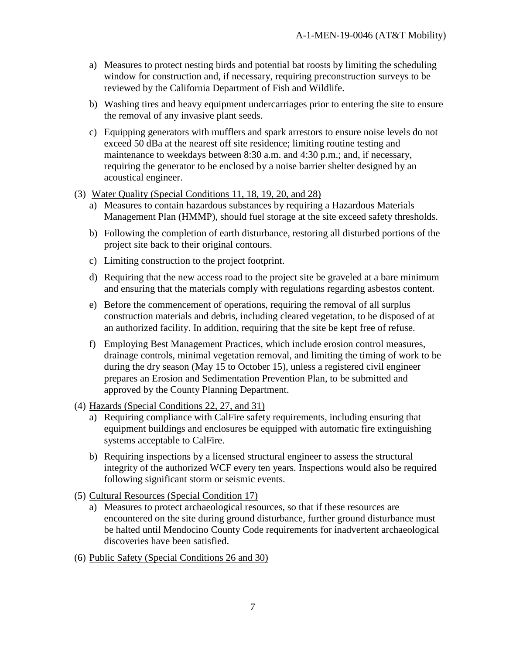- a) Measures to protect nesting birds and potential bat roosts by limiting the scheduling window for construction and, if necessary, requiring preconstruction surveys to be reviewed by the California Department of Fish and Wildlife.
- b) Washing tires and heavy equipment undercarriages prior to entering the site to ensure the removal of any invasive plant seeds.
- c) Equipping generators with mufflers and spark arrestors to ensure noise levels do not exceed 50 dBa at the nearest off site residence; limiting routine testing and maintenance to weekdays between 8:30 a.m. and 4:30 p.m.; and, if necessary, requiring the generator to be enclosed by a noise barrier shelter designed by an acoustical engineer.
- (3) Water Quality (Special Conditions 11, 18, 19, 20, and 28)
	- a) Measures to contain hazardous substances by requiring a Hazardous Materials Management Plan (HMMP), should fuel storage at the site exceed safety thresholds.
	- b) Following the completion of earth disturbance, restoring all disturbed portions of the project site back to their original contours.
	- c) Limiting construction to the project footprint.
	- d) Requiring that the new access road to the project site be graveled at a bare minimum and ensuring that the materials comply with regulations regarding asbestos content.
	- e) Before the commencement of operations, requiring the removal of all surplus construction materials and debris, including cleared vegetation, to be disposed of at an authorized facility. In addition, requiring that the site be kept free of refuse.
	- f) Employing Best Management Practices, which include erosion control measures, drainage controls, minimal vegetation removal, and limiting the timing of work to be during the dry season (May 15 to October 15), unless a registered civil engineer prepares an Erosion and Sedimentation Prevention Plan, to be submitted and approved by the County Planning Department.
- (4) Hazards (Special Conditions 22, 27, and 31)
	- a) Requiring compliance with CalFire safety requirements, including ensuring that equipment buildings and enclosures be equipped with automatic fire extinguishing systems acceptable to CalFire.
	- b) Requiring inspections by a licensed structural engineer to assess the structural integrity of the authorized WCF every ten years. Inspections would also be required following significant storm or seismic events.
- (5) Cultural Resources (Special Condition 17)
	- a) Measures to protect archaeological resources, so that if these resources are encountered on the site during ground disturbance, further ground disturbance must be halted until Mendocino County Code requirements for inadvertent archaeological discoveries have been satisfied.
- (6) Public Safety (Special Conditions 26 and 30)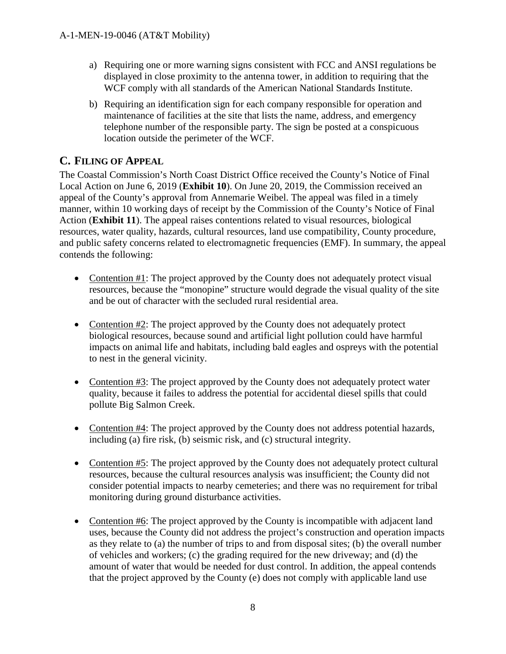- a) Requiring one or more warning signs consistent with FCC and ANSI regulations be displayed in close proximity to the antenna tower, in addition to requiring that the WCF comply with all standards of the American National Standards Institute.
- b) Requiring an identification sign for each company responsible for operation and maintenance of facilities at the site that lists the name, address, and emergency telephone number of the responsible party. The sign be posted at a conspicuous location outside the perimeter of the WCF.

## <span id="page-7-0"></span>**C. FILING OF APPEAL**

The Coastal Commission's North Coast District Office received the County's Notice of Final Local Action on June 6, 2019 (**Exhibit 10**). On June 20, 2019, the Commission received an appeal of the County's approval from Annemarie Weibel. The appeal was filed in a timely manner, within 10 working days of receipt by the Commission of the County's Notice of Final Action (**Exhibit 11**). The appeal raises contentions related to visual resources, biological resources, water quality, hazards, cultural resources, land use compatibility, County procedure, and public safety concerns related to electromagnetic frequencies (EMF). In summary, the appeal contends the following:

- Contention #1: The project approved by the County does not adequately protect visual resources, because the "monopine" structure would degrade the visual quality of the site and be out of character with the secluded rural residential area.
- Contention #2: The project approved by the County does not adequately protect biological resources, because sound and artificial light pollution could have harmful impacts on animal life and habitats, including bald eagles and ospreys with the potential to nest in the general vicinity.
- Contention #3: The project approved by the County does not adequately protect water quality, because it failes to address the potential for accidental diesel spills that could pollute Big Salmon Creek.
- Contention #4: The project approved by the County does not address potential hazards, including (a) fire risk, (b) seismic risk, and (c) structural integrity.
- Contention #5: The project approved by the County does not adequately protect cultural resources, because the cultural resources analysis was insufficient; the County did not consider potential impacts to nearby cemeteries; and there was no requirement for tribal monitoring during ground disturbance activities.
- Contention #6: The project approved by the County is incompatible with adjacent land uses, because the County did not address the project's construction and operation impacts as they relate to (a) the number of trips to and from disposal sites; (b) the overall number of vehicles and workers; (c) the grading required for the new driveway; and (d) the amount of water that would be needed for dust control. In addition, the appeal contends that the project approved by the County (e) does not comply with applicable land use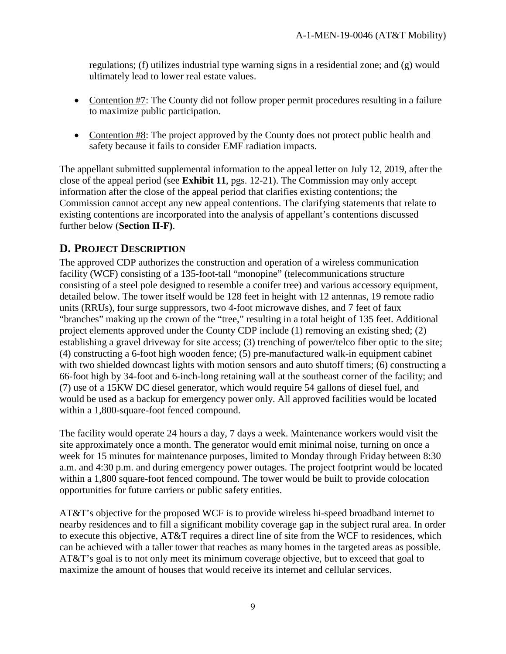regulations; (f) utilizes industrial type warning signs in a residential zone; and (g) would ultimately lead to lower real estate values.

- Contention #7: The County did not follow proper permit procedures resulting in a failure to maximize public participation.
- Contention #8: The project approved by the County does not protect public health and safety because it fails to consider EMF radiation impacts.

The appellant submitted supplemental information to the appeal letter on July 12, 2019, after the close of the appeal period (see **Exhibit 11**, pgs. 12-21). The Commission may only accept information after the close of the appeal period that clarifies existing contentions; the Commission cannot accept any new appeal contentions. The clarifying statements that relate to existing contentions are incorporated into the analysis of appellant's contentions discussed further below (**Section II-F)**.

## <span id="page-8-0"></span>**D. PROJECT DESCRIPTION**

The approved CDP authorizes the construction and operation of a wireless communication facility (WCF) consisting of a 135-foot-tall "monopine" (telecommunications structure consisting of a steel pole designed to resemble a conifer tree) and various accessory equipment, detailed below. The tower itself would be 128 feet in height with 12 antennas, 19 remote radio units (RRUs), four surge suppressors, two 4-foot microwave dishes, and 7 feet of faux "branches" making up the crown of the "tree," resulting in a total height of 135 feet. Additional project elements approved under the County CDP include (1) removing an existing shed; (2) establishing a gravel driveway for site access; (3) trenching of power/telco fiber optic to the site; (4) constructing a 6-foot high wooden fence; (5) pre-manufactured walk-in equipment cabinet with two shielded downcast lights with motion sensors and auto shutoff timers; (6) constructing a 66-foot high by 34-foot and 6-inch-long retaining wall at the southeast corner of the facility; and (7) use of a 15KW DC diesel generator, which would require 54 gallons of diesel fuel, and would be used as a backup for emergency power only. All approved facilities would be located within a 1,800-square-foot fenced compound.

The facility would operate 24 hours a day, 7 days a week. Maintenance workers would visit the site approximately once a month. The generator would emit minimal noise, turning on once a week for 15 minutes for maintenance purposes, limited to Monday through Friday between 8:30 a.m. and 4:30 p.m. and during emergency power outages. The project footprint would be located within a 1,800 square-foot fenced compound. The tower would be built to provide colocation opportunities for future carriers or public safety entities.

AT&T's objective for the proposed WCF is to provide wireless hi-speed broadband internet to nearby residences and to fill a significant mobility coverage gap in the subject rural area. In order to execute this objective, AT&T requires a direct line of site from the WCF to residences, which can be achieved with a taller tower that reaches as many homes in the targeted areas as possible. AT&T's goal is to not only meet its minimum coverage objective, but to exceed that goal to maximize the amount of houses that would receive its internet and cellular services.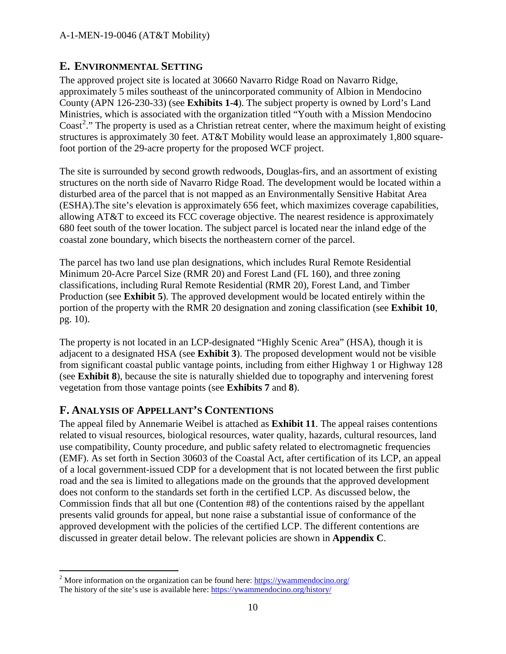## <span id="page-9-0"></span>**E. ENVIRONMENTAL SETTING**

The approved project site is located at 30660 Navarro Ridge Road on Navarro Ridge, approximately 5 miles southeast of the unincorporated community of Albion in Mendocino County (APN 126-230-33) (see **Exhibits 1-4**). The subject property is owned by Lord's Land Ministries, which is associated with the organization titled "Youth with a Mission Mendocino Coast<sup>[2](#page-9-2)</sup>." The property is used as a Christian retreat center, where the maximum height of existing structures is approximately 30 feet. AT&T Mobility would lease an approximately 1,800 squarefoot portion of the 29-acre property for the proposed WCF project.

The site is surrounded by second growth redwoods, Douglas-firs, and an assortment of existing structures on the north side of Navarro Ridge Road. The development would be located within a disturbed area of the parcel that is not mapped as an Environmentally Sensitive Habitat Area (ESHA).The site's elevation is approximately 656 feet, which maximizes coverage capabilities, allowing AT&T to exceed its FCC coverage objective. The nearest residence is approximately 680 feet south of the tower location. The subject parcel is located near the inland edge of the coastal zone boundary, which bisects the northeastern corner of the parcel.

The parcel has two land use plan designations, which includes Rural Remote Residential Minimum 20-Acre Parcel Size (RMR 20) and Forest Land (FL 160), and three zoning classifications, including Rural Remote Residential (RMR 20), Forest Land, and Timber Production (see **Exhibit 5**). The approved development would be located entirely within the portion of the property with the RMR 20 designation and zoning classification (see **Exhibit 10**, pg. 10).

The property is not located in an LCP-designated "Highly Scenic Area" (HSA), though it is adjacent to a designated HSA (see **Exhibit 3**). The proposed development would not be visible from significant coastal public vantage points, including from either Highway 1 or Highway 128 (see **Exhibit 8**), because the site is naturally shielded due to topography and intervening forest vegetation from those vantage points (see **Exhibits 7** and **8**).

## <span id="page-9-1"></span>**F. ANALYSIS OF APPELLANT'S CONTENTIONS**

 $\overline{a}$ 

The appeal filed by Annemarie Weibel is attached as **Exhibit 11**. The appeal raises contentions related to visual resources, biological resources, water quality, hazards, cultural resources, land use compatibility, County procedure, and public safety related to electromagnetic frequencies (EMF). As set forth in Section 30603 of the Coastal Act, after certification of its LCP, an appeal of a local government-issued CDP for a development that is not located between the first public road and the sea is limited to allegations made on the grounds that the approved development does not conform to the standards set forth in the certified LCP. As discussed below, the Commission finds that all but one (Contention #8) of the contentions raised by the appellant presents valid grounds for appeal, but none raise a substantial issue of conformance of the approved development with the policies of the certified LCP. The different contentions are discussed in greater detail below. The relevant policies are shown in **Appendix C**.

<span id="page-9-2"></span><sup>&</sup>lt;sup>2</sup> More information on the organization can be found here: https://ywammendocino.org/ The history of the site's use is available here:<https://ywammendocino.org/history/>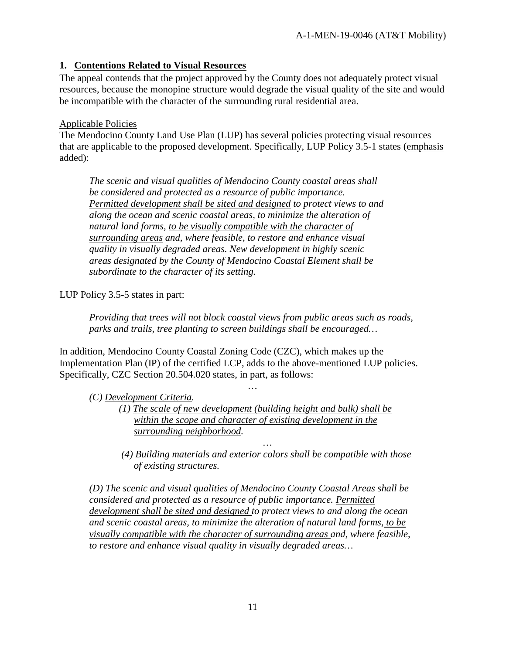## **1. Contentions Related to Visual Resources**

The appeal contends that the project approved by the County does not adequately protect visual resources, because the monopine structure would degrade the visual quality of the site and would be incompatible with the character of the surrounding rural residential area.

## Applicable Policies

The Mendocino County Land Use Plan (LUP) has several policies protecting visual resources that are applicable to the proposed development. Specifically, LUP Policy 3.5-1 states (emphasis added):

*The scenic and visual qualities of Mendocino County coastal areas shall be considered and protected as a resource of public importance. Permitted development shall be sited and designed to protect views to and along the ocean and scenic coastal areas, to minimize the alteration of natural land forms, to be visually compatible with the character of surrounding areas and, where feasible, to restore and enhance visual quality in visually degraded areas. New development in highly scenic areas designated by the County of Mendocino Coastal Element shall be subordinate to the character of its setting.* 

LUP Policy 3.5-5 states in part:

*Providing that trees will not block coastal views from public areas such as roads, parks and trails, tree planting to screen buildings shall be encouraged…* 

In addition, Mendocino County Coastal Zoning Code (CZC), which makes up the Implementation Plan (IP) of the certified LCP, adds to the above-mentioned LUP policies. Specifically, CZC Section 20.504.020 states, in part, as follows:

 *(C) Development Criteria.* 

*(1) The scale of new development (building height and bulk) shall be within the scope and character of existing development in the surrounding neighborhood.* 

*…* 

 *(4) Building materials and exterior colors shall be compatible with those of existing structures.* 

*…* 

*(D) The scenic and visual qualities of Mendocino County Coastal Areas shall be considered and protected as a resource of public importance. Permitted development shall be sited and designed to protect views to and along the ocean and scenic coastal areas, to minimize the alteration of natural land forms, to be visually compatible with the character of surrounding areas and, where feasible, to restore and enhance visual quality in visually degraded areas…*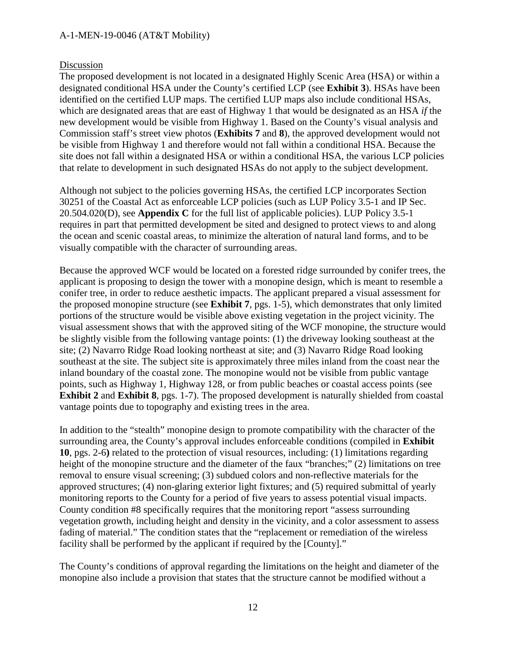#### Discussion

The proposed development is not located in a designated Highly Scenic Area (HSA) or within a designated conditional HSA under the County's certified LCP (see **Exhibit 3**). HSAs have been identified on the certified LUP maps. The certified LUP maps also include conditional HSAs, which are designated areas that are east of Highway 1 that would be designated as an HSA *if* the new development would be visible from Highway 1. Based on the County's visual analysis and Commission staff's street view photos (**Exhibits 7** and **8**), the approved development would not be visible from Highway 1 and therefore would not fall within a conditional HSA. Because the site does not fall within a designated HSA or within a conditional HSA, the various LCP policies that relate to development in such designated HSAs do not apply to the subject development.

Although not subject to the policies governing HSAs, the certified LCP incorporates Section 30251 of the Coastal Act as enforceable LCP policies (such as LUP Policy 3.5-1 and IP Sec. 20.504.020(D), see **Appendix C** for the full list of applicable policies). LUP Policy 3.5-1 requires in part that permitted development be sited and designed to protect views to and along the ocean and scenic coastal areas, to minimize the alteration of natural land forms, and to be visually compatible with the character of surrounding areas.

Because the approved WCF would be located on a forested ridge surrounded by conifer trees, the applicant is proposing to design the tower with a monopine design, which is meant to resemble a conifer tree, in order to reduce aesthetic impacts. The applicant prepared a visual assessment for the proposed monopine structure (see **Exhibit 7**, pgs. 1-5), which demonstrates that only limited portions of the structure would be visible above existing vegetation in the project vicinity. The visual assessment shows that with the approved siting of the WCF monopine, the structure would be slightly visible from the following vantage points: (1) the driveway looking southeast at the site; (2) Navarro Ridge Road looking northeast at site; and (3) Navarro Ridge Road looking southeast at the site. The subject site is approximately three miles inland from the coast near the inland boundary of the coastal zone. The monopine would not be visible from public vantage points, such as Highway 1, Highway 128, or from public beaches or coastal access points (see **Exhibit 2** and **Exhibit 8**, pgs. 1-7). The proposed development is naturally shielded from coastal vantage points due to topography and existing trees in the area.

In addition to the "stealth" monopine design to promote compatibility with the character of the surrounding area, the County's approval includes enforceable conditions (compiled in **Exhibit 10**, pgs. 2-6**)** related to the protection of visual resources, including: (1) limitations regarding height of the monopine structure and the diameter of the faux "branches;" (2) limitations on tree removal to ensure visual screening; (3) subdued colors and non-reflective materials for the approved structures; (4) non-glaring exterior light fixtures; and (5) required submittal of yearly monitoring reports to the County for a period of five years to assess potential visual impacts. County condition #8 specifically requires that the monitoring report "assess surrounding vegetation growth, including height and density in the vicinity, and a color assessment to assess fading of material." The condition states that the "replacement or remediation of the wireless facility shall be performed by the applicant if required by the [County]."

The County's conditions of approval regarding the limitations on the height and diameter of the monopine also include a provision that states that the structure cannot be modified without a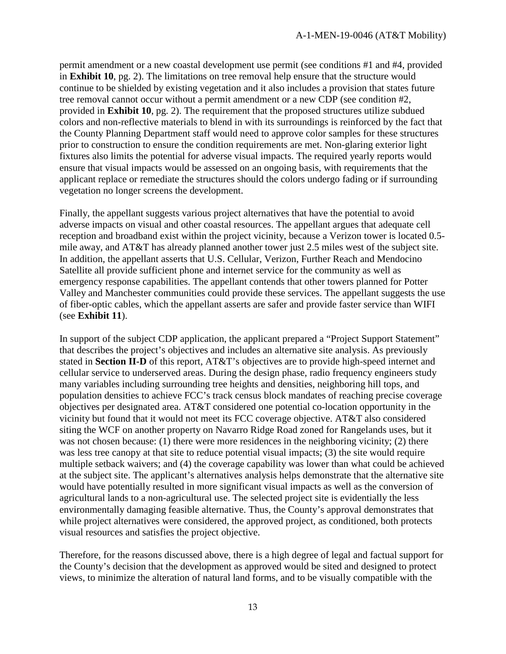permit amendment or a new coastal development use permit (see conditions #1 and #4, provided in **Exhibit 10**, pg. 2). The limitations on tree removal help ensure that the structure would continue to be shielded by existing vegetation and it also includes a provision that states future tree removal cannot occur without a permit amendment or a new CDP (see condition #2, provided in **Exhibit 10**, pg. 2). The requirement that the proposed structures utilize subdued colors and non-reflective materials to blend in with its surroundings is reinforced by the fact that the County Planning Department staff would need to approve color samples for these structures prior to construction to ensure the condition requirements are met. Non-glaring exterior light fixtures also limits the potential for adverse visual impacts. The required yearly reports would ensure that visual impacts would be assessed on an ongoing basis, with requirements that the applicant replace or remediate the structures should the colors undergo fading or if surrounding vegetation no longer screens the development.

Finally, the appellant suggests various project alternatives that have the potential to avoid adverse impacts on visual and other coastal resources. The appellant argues that adequate cell reception and broadband exist within the project vicinity, because a Verizon tower is located 0.5 mile away, and AT&T has already planned another tower just 2.5 miles west of the subject site. In addition, the appellant asserts that U.S. Cellular, Verizon, Further Reach and Mendocino Satellite all provide sufficient phone and internet service for the community as well as emergency response capabilities. The appellant contends that other towers planned for Potter Valley and Manchester communities could provide these services. The appellant suggests the use of fiber-optic cables, which the appellant asserts are safer and provide faster service than WIFI (see **Exhibit 11**).

In support of the subject CDP application, the applicant prepared a "Project Support Statement" that describes the project's objectives and includes an alternative site analysis. As previously stated in **Section II-D** of this report, AT&T's objectives are to provide high-speed internet and cellular service to underserved areas. During the design phase, radio frequency engineers study many variables including surrounding tree heights and densities, neighboring hill tops, and population densities to achieve FCC's track census block mandates of reaching precise coverage objectives per designated area. AT&T considered one potential co-location opportunity in the vicinity but found that it would not meet its FCC coverage objective. AT&T also considered siting the WCF on another property on Navarro Ridge Road zoned for Rangelands uses, but it was not chosen because: (1) there were more residences in the neighboring vicinity; (2) there was less tree canopy at that site to reduce potential visual impacts; (3) the site would require multiple setback waivers; and (4) the coverage capability was lower than what could be achieved at the subject site. The applicant's alternatives analysis helps demonstrate that the alternative site would have potentially resulted in more significant visual impacts as well as the conversion of agricultural lands to a non-agricultural use. The selected project site is evidentially the less environmentally damaging feasible alternative. Thus, the County's approval demonstrates that while project alternatives were considered, the approved project, as conditioned, both protects visual resources and satisfies the project objective.

Therefore, for the reasons discussed above, there is a high degree of legal and factual support for the County's decision that the development as approved would be sited and designed to protect views, to minimize the alteration of natural land forms, and to be visually compatible with the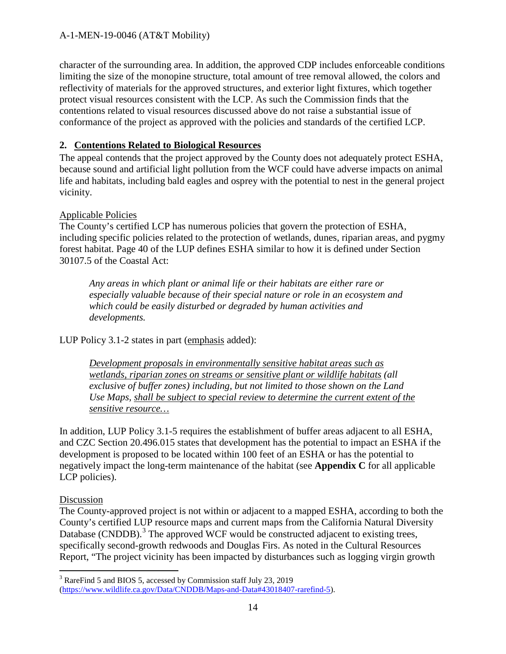character of the surrounding area. In addition, the approved CDP includes enforceable conditions limiting the size of the monopine structure, total amount of tree removal allowed, the colors and reflectivity of materials for the approved structures, and exterior light fixtures, which together protect visual resources consistent with the LCP. As such the Commission finds that the contentions related to visual resources discussed above do not raise a substantial issue of conformance of the project as approved with the policies and standards of the certified LCP.

## **2. Contentions Related to Biological Resources**

The appeal contends that the project approved by the County does not adequately protect ESHA, because sound and artificial light pollution from the WCF could have adverse impacts on animal life and habitats, including bald eagles and osprey with the potential to nest in the general project vicinity.

## Applicable Policies

The County's certified LCP has numerous policies that govern the protection of ESHA, including specific policies related to the protection of wetlands, dunes, riparian areas, and pygmy forest habitat. Page 40 of the LUP defines ESHA similar to how it is defined under Section 30107.5 of the Coastal Act:

*Any areas in which plant or animal life or their habitats are either rare or especially valuable because of their special nature or role in an ecosystem and which could be easily disturbed or degraded by human activities and developments.* 

LUP Policy 3.1-2 states in part (emphasis added):

*Development proposals in environmentally sensitive habitat areas such as wetlands, riparian zones on streams or sensitive plant or wildlife habitats (all exclusive of buffer zones) including, but not limited to those shown on the Land Use Maps, shall be subject to special review to determine the current extent of the sensitive resource…*

In addition, LUP Policy 3.1-5 requires the establishment of buffer areas adjacent to all ESHA, and CZC Section 20.496.015 states that development has the potential to impact an ESHA if the development is proposed to be located within 100 feet of an ESHA or has the potential to negatively impact the long-term maintenance of the habitat (see **Appendix C** for all applicable LCP policies).

## Discussion

The County-approved project is not within or adjacent to a mapped ESHA, according to both the County's certified LUP resource maps and current maps from the California Natural Diversity Database (CNDDB).<sup>[3](#page-13-0)</sup> The approved WCF would be constructed adjacent to existing trees, specifically second-growth redwoods and Douglas Firs. As noted in the Cultural Resources Report, "The project vicinity has been impacted by disturbances such as logging virgin growth

<span id="page-13-0"></span> $\overline{a}$  $3$  RareFind 5 and BIOS 5, accessed by Commission staff July 23, 2019 [\(https://www.wildlife.ca.gov/Data/CNDDB/Maps-and-Data#43018407-rarefind-5\)](https://www.wildlife.ca.gov/Data/CNDDB/Maps-and-Data#43018407-rarefind-5).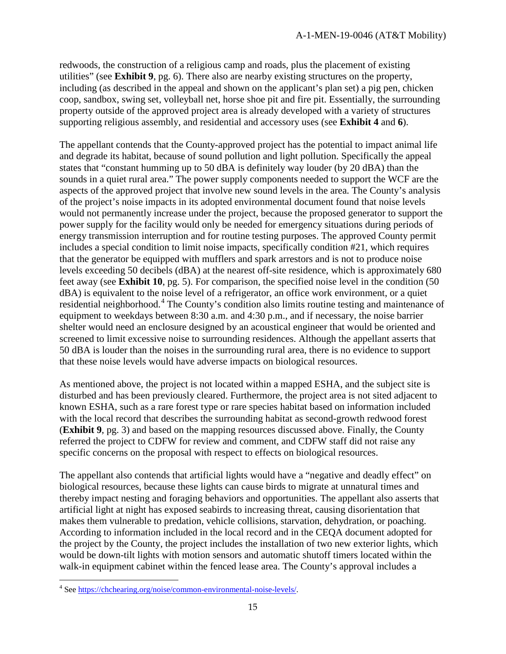redwoods, the construction of a religious camp and roads, plus the placement of existing utilities" (see **Exhibit 9**, pg. 6). There also are nearby existing structures on the property, including (as described in the appeal and shown on the applicant's plan set) a pig pen, chicken coop, sandbox, swing set, volleyball net, horse shoe pit and fire pit. Essentially, the surrounding property outside of the approved project area is already developed with a variety of structures supporting religious assembly, and residential and accessory uses (see **Exhibit 4** and **6**).

The appellant contends that the County-approved project has the potential to impact animal life and degrade its habitat, because of sound pollution and light pollution. Specifically the appeal states that "constant humming up to 50 dBA is definitely way louder (by 20 dBA) than the sounds in a quiet rural area." The power supply components needed to support the WCF are the aspects of the approved project that involve new sound levels in the area. The County's analysis of the project's noise impacts in its adopted environmental document found that noise levels would not permanently increase under the project, because the proposed generator to support the power supply for the facility would only be needed for emergency situations during periods of energy transmission interruption and for routine testing purposes. The approved County permit includes a special condition to limit noise impacts, specifically condition #21, which requires that the generator be equipped with mufflers and spark arrestors and is not to produce noise levels exceeding 50 decibels (dBA) at the nearest off-site residence, which is approximately 680 feet away (see **Exhibit 10**, pg. 5). For comparison, the specified noise level in the condition (50 dBA) is equivalent to the noise level of a refrigerator, an office work environment, or a quiet residential neighborhood.<sup>[4](#page-14-0)</sup> The County's condition also limits routine testing and maintenance of equipment to weekdays between 8:30 a.m. and 4:30 p.m., and if necessary, the noise barrier shelter would need an enclosure designed by an acoustical engineer that would be oriented and screened to limit excessive noise to surrounding residences. Although the appellant asserts that 50 dBA is louder than the noises in the surrounding rural area, there is no evidence to support that these noise levels would have adverse impacts on biological resources.

As mentioned above, the project is not located within a mapped ESHA, and the subject site is disturbed and has been previously cleared. Furthermore, the project area is not sited adjacent to known ESHA, such as a rare forest type or rare species habitat based on information included with the local record that describes the surrounding habitat as second-growth redwood forest (**Exhibit 9**, pg. 3) and based on the mapping resources discussed above. Finally, the County referred the project to CDFW for review and comment, and CDFW staff did not raise any specific concerns on the proposal with respect to effects on biological resources.

The appellant also contends that artificial lights would have a "negative and deadly effect" on biological resources, because these lights can cause birds to migrate at unnatural times and thereby impact nesting and foraging behaviors and opportunities. The appellant also asserts that artificial light at night has exposed seabirds to increasing threat, causing disorientation that makes them vulnerable to predation, vehicle collisions, starvation, dehydration, or poaching. According to information included in the local record and in the CEQA document adopted for the project by the County, the project includes the installation of two new exterior lights, which would be down-tilt lights with motion sensors and automatic shutoff timers located within the walk-in equipment cabinet within the fenced lease area. The County's approval includes a

 $\overline{a}$ 

<span id="page-14-0"></span><sup>&</sup>lt;sup>4</sup> Se[e https://chchearing.org/noise/common-environmental-noise-levels/.](https://chchearing.org/noise/common-environmental-noise-levels/)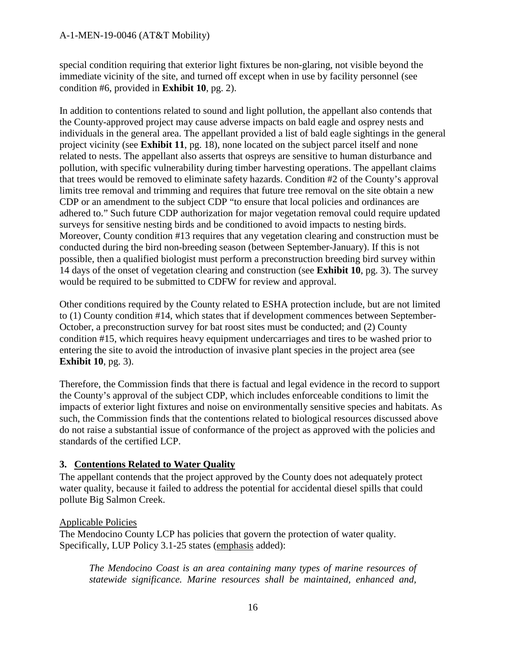special condition requiring that exterior light fixtures be non-glaring, not visible beyond the immediate vicinity of the site, and turned off except when in use by facility personnel (see condition #6, provided in **Exhibit 10**, pg. 2).

In addition to contentions related to sound and light pollution, the appellant also contends that the County-approved project may cause adverse impacts on bald eagle and osprey nests and individuals in the general area. The appellant provided a list of bald eagle sightings in the general project vicinity (see **Exhibit 11**, pg. 18), none located on the subject parcel itself and none related to nests. The appellant also asserts that ospreys are sensitive to human disturbance and pollution, with specific vulnerability during timber harvesting operations. The appellant claims that trees would be removed to eliminate safety hazards. Condition #2 of the County's approval limits tree removal and trimming and requires that future tree removal on the site obtain a new CDP or an amendment to the subject CDP "to ensure that local policies and ordinances are adhered to." Such future CDP authorization for major vegetation removal could require updated surveys for sensitive nesting birds and be conditioned to avoid impacts to nesting birds. Moreover, County condition #13 requires that any vegetation clearing and construction must be conducted during the bird non-breeding season (between September-January). If this is not possible, then a qualified biologist must perform a preconstruction breeding bird survey within 14 days of the onset of vegetation clearing and construction (see **Exhibit 10**, pg. 3). The survey would be required to be submitted to CDFW for review and approval.

Other conditions required by the County related to ESHA protection include, but are not limited to (1) County condition #14, which states that if development commences between September-October, a preconstruction survey for bat roost sites must be conducted; and (2) County condition #15, which requires heavy equipment undercarriages and tires to be washed prior to entering the site to avoid the introduction of invasive plant species in the project area (see **Exhibit 10**, pg. 3).

Therefore, the Commission finds that there is factual and legal evidence in the record to support the County's approval of the subject CDP, which includes enforceable conditions to limit the impacts of exterior light fixtures and noise on environmentally sensitive species and habitats. As such, the Commission finds that the contentions related to biological resources discussed above do not raise a substantial issue of conformance of the project as approved with the policies and standards of the certified LCP.

## **3. Contentions Related to Water Quality**

The appellant contends that the project approved by the County does not adequately protect water quality, because it failed to address the potential for accidental diesel spills that could pollute Big Salmon Creek.

## Applicable Policies

The Mendocino County LCP has policies that govern the protection of water quality. Specifically, LUP Policy 3.1-25 states (emphasis added):

*The Mendocino Coast is an area containing many types of marine resources of statewide significance. Marine resources shall be maintained, enhanced and,*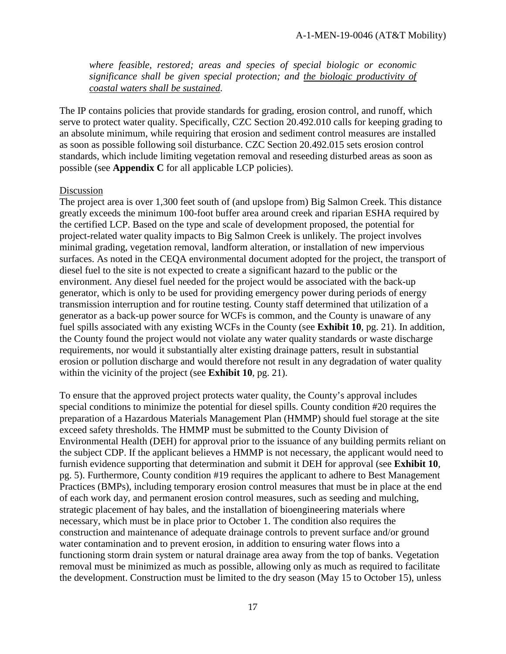*where feasible, restored; areas and species of special biologic or economic significance shall be given special protection; and the biologic productivity of coastal waters shall be sustained.* 

The IP contains policies that provide standards for grading, erosion control, and runoff, which serve to protect water quality. Specifically, CZC Section 20.492.010 calls for keeping grading to an absolute minimum, while requiring that erosion and sediment control measures are installed as soon as possible following soil disturbance. CZC Section 20.492.015 sets erosion control standards, which include limiting vegetation removal and reseeding disturbed areas as soon as possible (see **Appendix C** for all applicable LCP policies).

#### Discussion

The project area is over 1,300 feet south of (and upslope from) Big Salmon Creek. This distance greatly exceeds the minimum 100-foot buffer area around creek and riparian ESHA required by the certified LCP. Based on the type and scale of development proposed, the potential for project-related water quality impacts to Big Salmon Creek is unlikely. The project involves minimal grading, vegetation removal, landform alteration, or installation of new impervious surfaces. As noted in the CEQA environmental document adopted for the project, the transport of diesel fuel to the site is not expected to create a significant hazard to the public or the environment. Any diesel fuel needed for the project would be associated with the back-up generator, which is only to be used for providing emergency power during periods of energy transmission interruption and for routine testing. County staff determined that utilization of a generator as a back-up power source for WCFs is common, and the County is unaware of any fuel spills associated with any existing WCFs in the County (see **Exhibit 10**, pg. 21). In addition, the County found the project would not violate any water quality standards or waste discharge requirements, nor would it substantially alter existing drainage patters, result in substantial erosion or pollution discharge and would therefore not result in any degradation of water quality within the vicinity of the project (see **Exhibit 10**, pg. 21).

To ensure that the approved project protects water quality, the County's approval includes special conditions to minimize the potential for diesel spills. County condition #20 requires the preparation of a Hazardous Materials Management Plan (HMMP) should fuel storage at the site exceed safety thresholds. The HMMP must be submitted to the County Division of Environmental Health (DEH) for approval prior to the issuance of any building permits reliant on the subject CDP. If the applicant believes a HMMP is not necessary, the applicant would need to furnish evidence supporting that determination and submit it DEH for approval (see **Exhibit 10**, pg. 5). Furthermore, County condition #19 requires the applicant to adhere to Best Management Practices (BMPs), including temporary erosion control measures that must be in place at the end of each work day, and permanent erosion control measures, such as seeding and mulching, strategic placement of hay bales, and the installation of bioengineering materials where necessary, which must be in place prior to October 1. The condition also requires the construction and maintenance of adequate drainage controls to prevent surface and/or ground water contamination and to prevent erosion, in addition to ensuring water flows into a functioning storm drain system or natural drainage area away from the top of banks. Vegetation removal must be minimized as much as possible, allowing only as much as required to facilitate the development. Construction must be limited to the dry season (May 15 to October 15), unless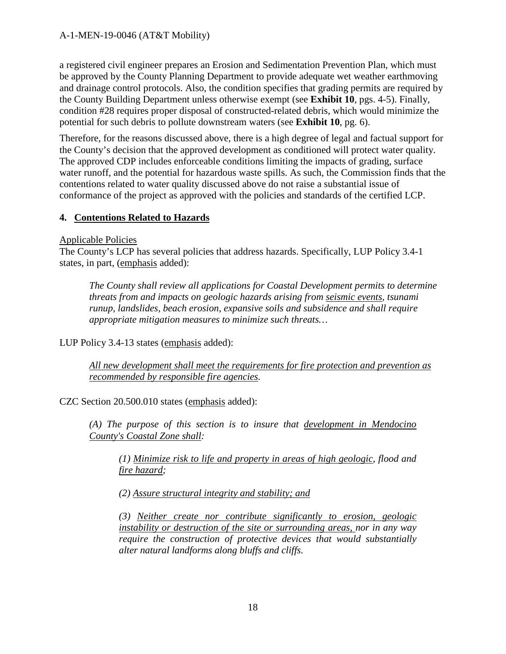a registered civil engineer prepares an Erosion and Sedimentation Prevention Plan, which must be approved by the County Planning Department to provide adequate wet weather earthmoving and drainage control protocols. Also, the condition specifies that grading permits are required by the County Building Department unless otherwise exempt (see **Exhibit 10**, pgs. 4-5). Finally, condition #28 requires proper disposal of constructed-related debris, which would minimize the potential for such debris to pollute downstream waters (see **Exhibit 10**, pg. 6).

Therefore, for the reasons discussed above, there is a high degree of legal and factual support for the County's decision that the approved development as conditioned will protect water quality. The approved CDP includes enforceable conditions limiting the impacts of grading, surface water runoff, and the potential for hazardous waste spills. As such, the Commission finds that the contentions related to water quality discussed above do not raise a substantial issue of conformance of the project as approved with the policies and standards of the certified LCP.

## **4. Contentions Related to Hazards**

Applicable Policies

The County's LCP has several policies that address hazards. Specifically, LUP Policy 3.4-1 states, in part, (emphasis added):

*The County shall review all applications for Coastal Development permits to determine threats from and impacts on geologic hazards arising from seismic events, tsunami runup, landslides, beach erosion, expansive soils and subsidence and shall require appropriate mitigation measures to minimize such threats…*

LUP Policy 3.4-13 states (emphasis added):

*All new development shall meet the requirements for fire protection and prevention as recommended by responsible fire agencies.* 

CZC Section 20.500.010 states (emphasis added):

*(A) The purpose of this section is to insure that development in Mendocino County's Coastal Zone shall:* 

*(1) Minimize risk to life and property in areas of high geologic, flood and fire hazard;* 

*(2) Assure structural integrity and stability; and* 

*(3) Neither create nor contribute significantly to erosion, geologic instability or destruction of the site or surrounding areas, nor in any way require the construction of protective devices that would substantially alter natural landforms along bluffs and cliffs.*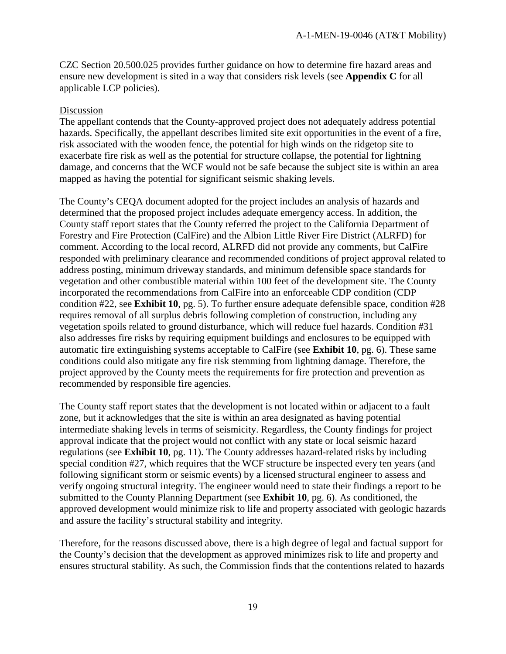CZC Section 20.500.025 provides further guidance on how to determine fire hazard areas and ensure new development is sited in a way that considers risk levels (see **Appendix C** for all applicable LCP policies).

#### Discussion

The appellant contends that the County-approved project does not adequately address potential hazards. Specifically, the appellant describes limited site exit opportunities in the event of a fire, risk associated with the wooden fence, the potential for high winds on the ridgetop site to exacerbate fire risk as well as the potential for structure collapse, the potential for lightning damage, and concerns that the WCF would not be safe because the subject site is within an area mapped as having the potential for significant seismic shaking levels.

The County's CEQA document adopted for the project includes an analysis of hazards and determined that the proposed project includes adequate emergency access. In addition, the County staff report states that the County referred the project to the California Department of Forestry and Fire Protection (CalFire) and the Albion Little River Fire District (ALRFD) for comment. According to the local record, ALRFD did not provide any comments, but CalFire responded with preliminary clearance and recommended conditions of project approval related to address posting, minimum driveway standards, and minimum defensible space standards for vegetation and other combustible material within 100 feet of the development site. The County incorporated the recommendations from CalFire into an enforceable CDP condition (CDP condition #22, see **Exhibit 10**, pg. 5). To further ensure adequate defensible space, condition #28 requires removal of all surplus debris following completion of construction, including any vegetation spoils related to ground disturbance, which will reduce fuel hazards. Condition #31 also addresses fire risks by requiring equipment buildings and enclosures to be equipped with automatic fire extinguishing systems acceptable to CalFire (see **Exhibit 10**, pg. 6). These same conditions could also mitigate any fire risk stemming from lightning damage. Therefore, the project approved by the County meets the requirements for fire protection and prevention as recommended by responsible fire agencies.

The County staff report states that the development is not located within or adjacent to a fault zone, but it acknowledges that the site is within an area designated as having potential intermediate shaking levels in terms of seismicity. Regardless, the County findings for project approval indicate that the project would not conflict with any state or local seismic hazard regulations (see **Exhibit 10**, pg. 11). The County addresses hazard-related risks by including special condition #27, which requires that the WCF structure be inspected every ten years (and following significant storm or seismic events) by a licensed structural engineer to assess and verify ongoing structural integrity. The engineer would need to state their findings a report to be submitted to the County Planning Department (see **Exhibit 10**, pg. 6). As conditioned, the approved development would minimize risk to life and property associated with geologic hazards and assure the facility's structural stability and integrity.

Therefore, for the reasons discussed above, there is a high degree of legal and factual support for the County's decision that the development as approved minimizes risk to life and property and ensures structural stability. As such, the Commission finds that the contentions related to hazards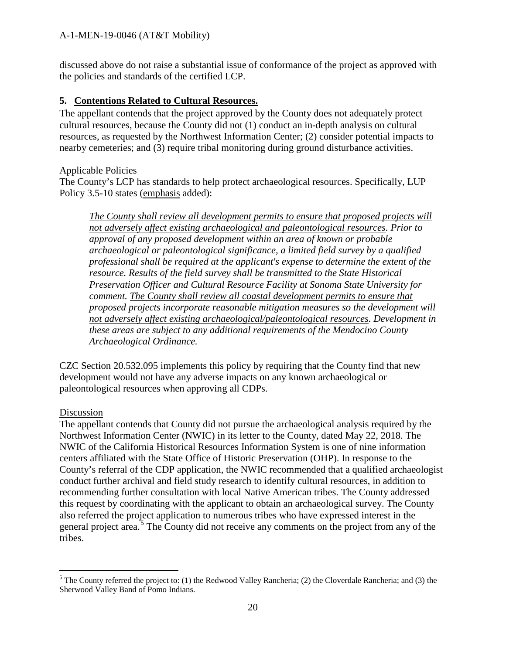discussed above do not raise a substantial issue of conformance of the project as approved with the policies and standards of the certified LCP.

## **5. Contentions Related to Cultural Resources.**

The appellant contends that the project approved by the County does not adequately protect cultural resources, because the County did not (1) conduct an in-depth analysis on cultural resources, as requested by the Northwest Information Center; (2) consider potential impacts to nearby cemeteries; and (3) require tribal monitoring during ground disturbance activities.

#### Applicable Policies

The County's LCP has standards to help protect archaeological resources. Specifically, LUP Policy 3.5-10 states (emphasis added):

*The County shall review all development permits to ensure that proposed projects will not adversely affect existing archaeological and paleontological resources. Prior to approval of any proposed development within an area of known or probable archaeological or paleontological significance, a limited field survey by a qualified professional shall be required at the applicant's expense to determine the extent of the resource. Results of the field survey shall be transmitted to the State Historical Preservation Officer and Cultural Resource Facility at Sonoma State University for comment. The County shall review all coastal development permits to ensure that proposed projects incorporate reasonable mitigation measures so the development will not adversely affect existing archaeological/paleontological resources. Development in these areas are subject to any additional requirements of the Mendocino County Archaeological Ordinance.* 

CZC Section 20.532.095 implements this policy by requiring that the County find that new development would not have any adverse impacts on any known archaeological or paleontological resources when approving all CDPs.

#### Discussion

 $\overline{a}$ 

The appellant contends that County did not pursue the archaeological analysis required by the Northwest Information Center (NWIC) in its letter to the County, dated May 22, 2018. The NWIC of the California Historical Resources Information System is one of nine information centers affiliated with the State Office of Historic Preservation (OHP). In response to the County's referral of the CDP application, the NWIC recommended that a qualified archaeologist conduct further archival and field study research to identify cultural resources, in addition to recommending further consultation with local Native American tribes. The County addressed this request by coordinating with the applicant to obtain an archaeological survey. The County also referred the project application to numerous tribes who have expressed interest in the general project area.<sup>[5](#page-19-0)</sup> The County did not receive any comments on the project from any of the tribes.

<span id="page-19-0"></span> $5$  The County referred the project to: (1) the Redwood Valley Rancheria; (2) the Cloverdale Rancheria; and (3) the Sherwood Valley Band of Pomo Indians.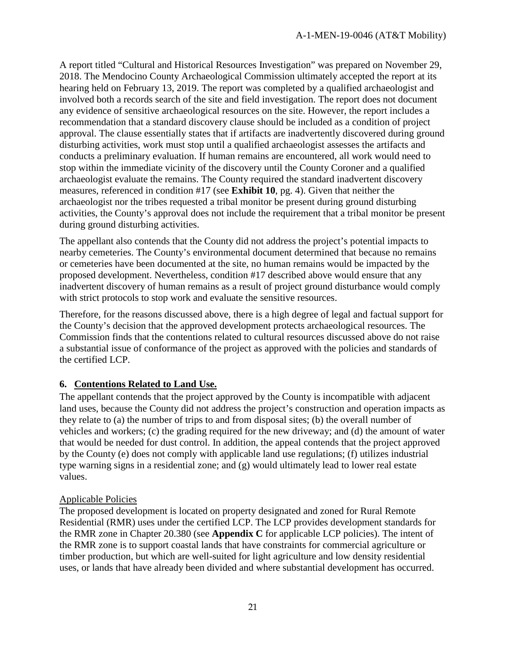A report titled "Cultural and Historical Resources Investigation" was prepared on November 29, 2018. The Mendocino County Archaeological Commission ultimately accepted the report at its hearing held on February 13, 2019. The report was completed by a qualified archaeologist and involved both a records search of the site and field investigation. The report does not document any evidence of sensitive archaeological resources on the site. However, the report includes a recommendation that a standard discovery clause should be included as a condition of project approval. The clause essentially states that if artifacts are inadvertently discovered during ground disturbing activities, work must stop until a qualified archaeologist assesses the artifacts and conducts a preliminary evaluation. If human remains are encountered, all work would need to stop within the immediate vicinity of the discovery until the County Coroner and a qualified archaeologist evaluate the remains. The County required the standard inadvertent discovery measures, referenced in condition #17 (see **Exhibit 10**, pg. 4). Given that neither the archaeologist nor the tribes requested a tribal monitor be present during ground disturbing activities, the County's approval does not include the requirement that a tribal monitor be present during ground disturbing activities.

The appellant also contends that the County did not address the project's potential impacts to nearby cemeteries. The County's environmental document determined that because no remains or cemeteries have been documented at the site, no human remains would be impacted by the proposed development. Nevertheless, condition #17 described above would ensure that any inadvertent discovery of human remains as a result of project ground disturbance would comply with strict protocols to stop work and evaluate the sensitive resources.

Therefore, for the reasons discussed above, there is a high degree of legal and factual support for the County's decision that the approved development protects archaeological resources. The Commission finds that the contentions related to cultural resources discussed above do not raise a substantial issue of conformance of the project as approved with the policies and standards of the certified LCP.

## **6. Contentions Related to Land Use.**

The appellant contends that the project approved by the County is incompatible with adjacent land uses, because the County did not address the project's construction and operation impacts as they relate to (a) the number of trips to and from disposal sites; (b) the overall number of vehicles and workers; (c) the grading required for the new driveway; and (d) the amount of water that would be needed for dust control. In addition, the appeal contends that the project approved by the County (e) does not comply with applicable land use regulations; (f) utilizes industrial type warning signs in a residential zone; and (g) would ultimately lead to lower real estate values.

## Applicable Policies

The proposed development is located on property designated and zoned for Rural Remote Residential (RMR) uses under the certified LCP. The LCP provides development standards for the RMR zone in Chapter 20.380 (see **Appendix C** for applicable LCP policies). The intent of the RMR zone is to support coastal lands that have constraints for commercial agriculture or timber production, but which are well-suited for light agriculture and low density residential uses, or lands that have already been divided and where substantial development has occurred.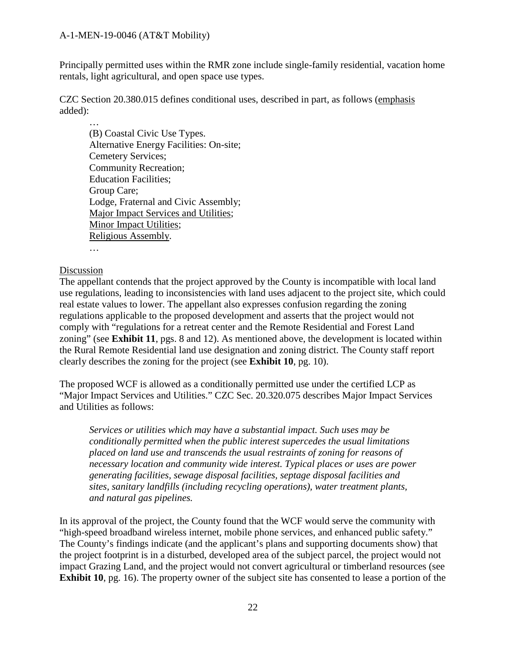Principally permitted uses within the RMR zone include single-family residential, vacation home rentals, light agricultural, and open space use types.

CZC Section 20.380.015 defines conditional uses, described in part, as follows (emphasis added):

… (B) Coastal Civic Use Types. Alternative Energy Facilities: On-site; Cemetery Services; Community Recreation; Education Facilities; Group Care; Lodge, Fraternal and Civic Assembly; Major Impact Services and Utilities; Minor Impact Utilities; Religious Assembly.

…

## Discussion

The appellant contends that the project approved by the County is incompatible with local land use regulations, leading to inconsistencies with land uses adjacent to the project site, which could real estate values to lower. The appellant also expresses confusion regarding the zoning regulations applicable to the proposed development and asserts that the project would not comply with "regulations for a retreat center and the Remote Residential and Forest Land zoning" (see **Exhibit 11**, pgs. 8 and 12). As mentioned above, the development is located within the Rural Remote Residential land use designation and zoning district. The County staff report clearly describes the zoning for the project (see **Exhibit 10**, pg. 10).

The proposed WCF is allowed as a conditionally permitted use under the certified LCP as "Major Impact Services and Utilities." CZC Sec. 20.320.075 describes Major Impact Services and Utilities as follows:

*Services or utilities which may have a substantial impact. Such uses may be conditionally permitted when the public interest supercedes the usual limitations placed on land use and transcends the usual restraints of zoning for reasons of necessary location and community wide interest. Typical places or uses are power generating facilities, sewage disposal facilities, septage disposal facilities and sites, sanitary landfills (including recycling operations), water treatment plants, and natural gas pipelines.* 

In its approval of the project, the County found that the WCF would serve the community with "high-speed broadband wireless internet, mobile phone services, and enhanced public safety." The County's findings indicate (and the applicant's plans and supporting documents show) that the project footprint is in a disturbed, developed area of the subject parcel, the project would not impact Grazing Land, and the project would not convert agricultural or timberland resources (see **Exhibit 10**, pg. 16). The property owner of the subject site has consented to lease a portion of the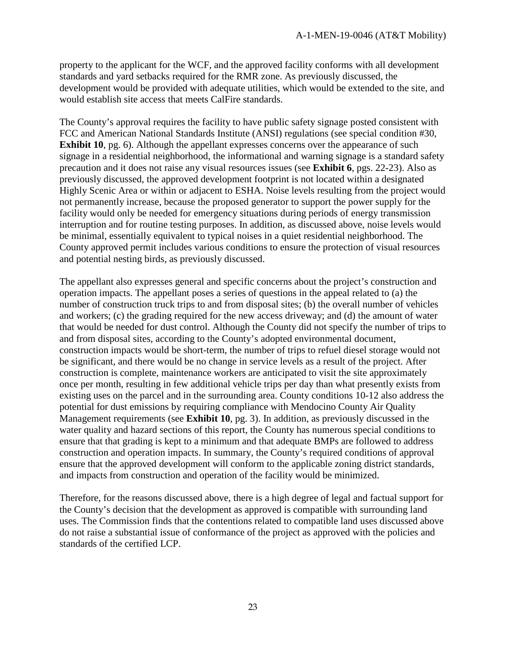property to the applicant for the WCF, and the approved facility conforms with all development standards and yard setbacks required for the RMR zone. As previously discussed, the development would be provided with adequate utilities, which would be extended to the site, and would establish site access that meets CalFire standards.

The County's approval requires the facility to have public safety signage posted consistent with FCC and American National Standards Institute (ANSI) regulations (see special condition #30, **Exhibit 10**, pg. 6). Although the appellant expresses concerns over the appearance of such signage in a residential neighborhood, the informational and warning signage is a standard safety precaution and it does not raise any visual resources issues (see **Exhibit 6**, pgs. 22-23). Also as previously discussed, the approved development footprint is not located within a designated Highly Scenic Area or within or adjacent to ESHA. Noise levels resulting from the project would not permanently increase, because the proposed generator to support the power supply for the facility would only be needed for emergency situations during periods of energy transmission interruption and for routine testing purposes. In addition, as discussed above, noise levels would be minimal, essentially equivalent to typical noises in a quiet residential neighborhood. The County approved permit includes various conditions to ensure the protection of visual resources and potential nesting birds, as previously discussed.

The appellant also expresses general and specific concerns about the project's construction and operation impacts. The appellant poses a series of questions in the appeal related to (a) the number of construction truck trips to and from disposal sites; (b) the overall number of vehicles and workers; (c) the grading required for the new access driveway; and (d) the amount of water that would be needed for dust control. Although the County did not specify the number of trips to and from disposal sites, according to the County's adopted environmental document, construction impacts would be short-term, the number of trips to refuel diesel storage would not be significant, and there would be no change in service levels as a result of the project. After construction is complete, maintenance workers are anticipated to visit the site approximately once per month, resulting in few additional vehicle trips per day than what presently exists from existing uses on the parcel and in the surrounding area. County conditions 10-12 also address the potential for dust emissions by requiring compliance with Mendocino County Air Quality Management requirements (see **Exhibit 10**, pg. 3). In addition, as previously discussed in the water quality and hazard sections of this report, the County has numerous special conditions to ensure that that grading is kept to a minimum and that adequate BMPs are followed to address construction and operation impacts. In summary, the County's required conditions of approval ensure that the approved development will conform to the applicable zoning district standards, and impacts from construction and operation of the facility would be minimized.

Therefore, for the reasons discussed above, there is a high degree of legal and factual support for the County's decision that the development as approved is compatible with surrounding land uses. The Commission finds that the contentions related to compatible land uses discussed above do not raise a substantial issue of conformance of the project as approved with the policies and standards of the certified LCP.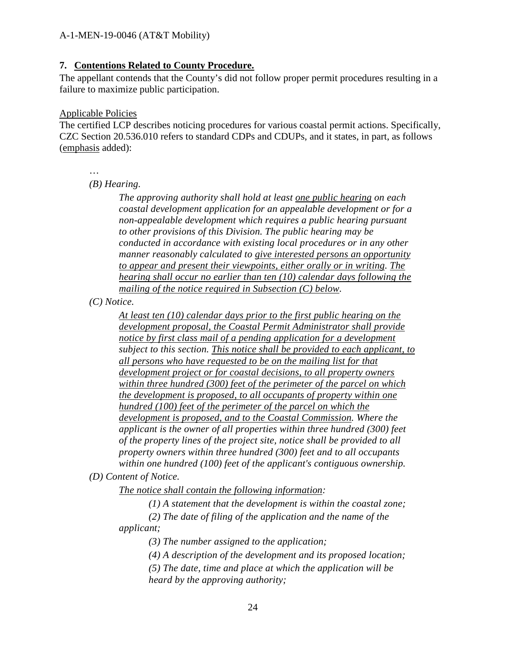## **7. Contentions Related to County Procedure.**

The appellant contends that the County's did not follow proper permit procedures resulting in a failure to maximize public participation.

#### Applicable Policies

The certified LCP describes noticing procedures for various coastal permit actions. Specifically, CZC Section 20.536.010 refers to standard CDPs and CDUPs, and it states, in part, as follows (emphasis added):

…

*(B) Hearing.* 

*The approving authority shall hold at least one public hearing on each coastal development application for an appealable development or for a non-appealable development which requires a public hearing pursuant to other provisions of this Division. The public hearing may be conducted in accordance with existing local procedures or in any other manner reasonably calculated to give interested persons an opportunity to appear and present their viewpoints, either orally or in writing. The hearing shall occur no earlier than ten (10) calendar days following the mailing of the notice required in Subsection (C) below.* 

*(C) Notice.* 

*At least ten (10) calendar days prior to the first public hearing on the development proposal, the Coastal Permit Administrator shall provide notice by first class mail of a pending application for a development subject to this section. This notice shall be provided to each applicant, to all persons who have requested to be on the mailing list for that development project or for coastal decisions, to all property owners within three hundred (300) feet of the perimeter of the parcel on which the development is proposed, to all occupants of property within one hundred (100) feet of the perimeter of the parcel on which the development is proposed, and to the Coastal Commission. Where the applicant is the owner of all properties within three hundred (300) feet of the property lines of the project site, notice shall be provided to all property owners within three hundred (300) feet and to all occupants within one hundred (100) feet of the applicant's contiguous ownership.*

## *(D) Content of Notice.*

*The notice shall contain the following information:* 

*(1) A statement that the development is within the coastal zone;*

*(2) The date of filing of the application and the name of the applicant;*

*(3) The number assigned to the application;*

*(4) A description of the development and its proposed location;*

*(5) The date, time and place at which the application will be heard by the approving authority;*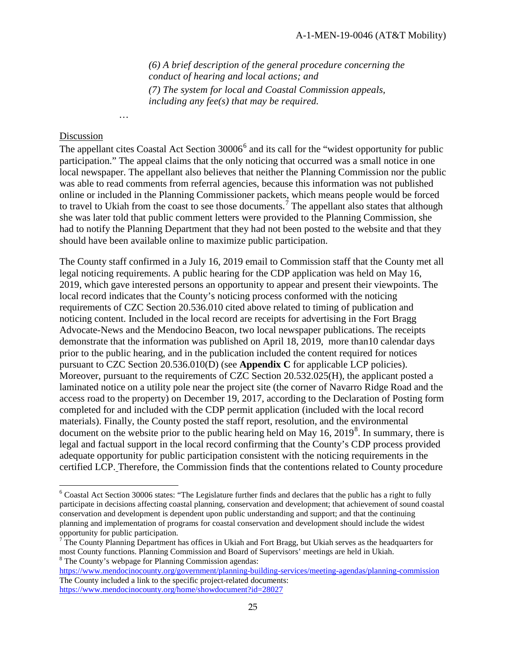*(6) A brief description of the general procedure concerning the conduct of hearing and local actions; and (7) The system for local and Coastal Commission appeals, including any fee(s) that may be required.*

#### Discussion

 $\overline{a}$ 

…

The appellant cites Coastal Act Section 3000[6](#page-24-0)<sup>6</sup> and its call for the "widest opportunity for public participation." The appeal claims that the only noticing that occurred was a small notice in one local newspaper. The appellant also believes that neither the Planning Commission nor the public was able to read comments from referral agencies, because this information was not published online or included in the Planning Commissioner packets, which means people would be forced to travel to Ukiah from the coast to see those documents.<sup>[7](#page-24-1)</sup> The appellant also states that although she was later told that public comment letters were provided to the Planning Commission, she had to notify the Planning Department that they had not been posted to the website and that they should have been available online to maximize public participation.

The County staff confirmed in a July 16, 2019 email to Commission staff that the County met all legal noticing requirements. A public hearing for the CDP application was held on May 16, 2019, which gave interested persons an opportunity to appear and present their viewpoints. The local record indicates that the County's noticing process conformed with the noticing requirements of CZC Section 20.536.010 cited above related to timing of publication and noticing content. Included in the local record are receipts for advertising in the Fort Bragg Advocate-News and the Mendocino Beacon, two local newspaper publications. The receipts demonstrate that the information was published on April 18, 2019, more than10 calendar days prior to the public hearing, and in the publication included the content required for notices pursuant to CZC Section 20.536.010(D) (see **Appendix C** for applicable LCP policies). Moreover, pursuant to the requirements of CZC Section 20.532.025(H), the applicant posted a laminated notice on a utility pole near the project site (the corner of Navarro Ridge Road and the access road to the property) on December 19, 2017, according to the Declaration of Posting form completed for and included with the CDP permit application (included with the local record materials). Finally, the County posted the staff report, resolution, and the environmental document on the website prior to the public hearing held on May  $16$ ,  $2019<sup>8</sup>$  $2019<sup>8</sup>$  $2019<sup>8</sup>$ . In summary, there is legal and factual support in the local record confirming that the County's CDP process provided adequate opportunity for public participation consistent with the noticing requirements in the certified LCP. Therefore, the Commission finds that the contentions related to County procedure

<span id="page-24-0"></span> $6$  Coastal Act Section 30006 states: "The Legislature further finds and declares that the public has a right to fully participate in decisions affecting coastal planning, conservation and development; that achievement of sound coastal conservation and development is dependent upon public understanding and support; and that the continuing planning and implementation of programs for coastal conservation and development should include the widest opportunity for public participation.

<span id="page-24-1"></span> $<sup>7</sup>$  The County Planning Department has offices in Ukiah and Fort Bragg, but Ukiah serves as the headquarters for</sup> most County functions. Planning Commission and Board of Supervisors' meetings are held in Ukiah. <sup>8</sup> The County's webpage for Planning Commission agendas:

<span id="page-24-2"></span><https://www.mendocinocounty.org/government/planning-building-services/meeting-agendas/planning-commission> The County included a link to the specific project-related documents: <https://www.mendocinocounty.org/home/showdocument?id=28027>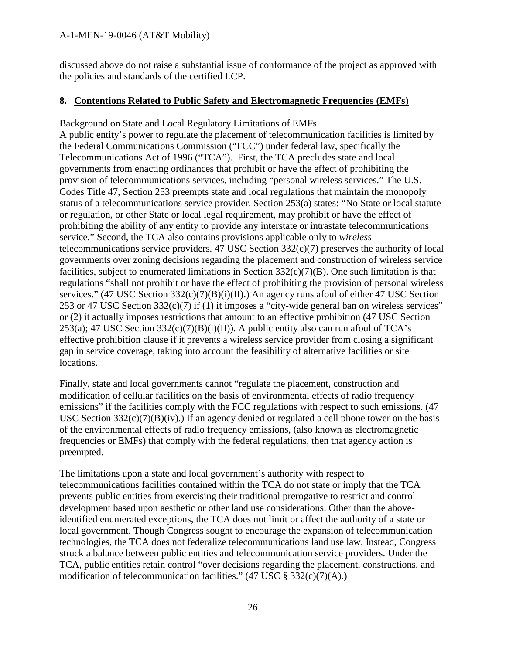discussed above do not raise a substantial issue of conformance of the project as approved with the policies and standards of the certified LCP.

## **8. Contentions Related to Public Safety and Electromagnetic Frequencies (EMFs)**

## Background on State and Local Regulatory Limitations of EMFs

A public entity's power to regulate the placement of telecommunication facilities is limited by the Federal Communications Commission ("FCC") under federal law, specifically the Telecommunications Act of 1996 ("TCA"). First, the TCA precludes state and local governments from enacting ordinances that prohibit or have the effect of prohibiting the provision of telecommunications services, including "personal wireless services." The U.S. Codes Title 47, Section 253 preempts state and local regulations that maintain the monopoly status of a telecommunications service provider. Section 253(a) states: "No State or local statute or regulation, or other State or local legal requirement, may prohibit or have the effect of prohibiting the ability of any entity to provide any interstate or intrastate telecommunications service." Second, the TCA also contains provisions applicable only to *wireless* telecommunications service providers. 47 USC Section 332(c)(7) preserves the authority of local governments over zoning decisions regarding the placement and construction of wireless service facilities, subject to enumerated limitations in Section 332(c)(7)(B). One such limitation is that regulations "shall not prohibit or have the effect of prohibiting the provision of personal wireless services." (47 USC Section 332(c)(7)(B)(i)(II).) An agency runs afoul of either 47 USC Section 253 or 47 USC Section 332(c)(7) if (1) it imposes a "city-wide general ban on wireless services" or (2) it actually imposes restrictions that amount to an effective prohibition (47 USC Section  $253(a)$ ; 47 USC Section  $332(c)(7)(B)(i)(II)$ ). A public entity also can run afoul of TCA's effective prohibition clause if it prevents a wireless service provider from closing a significant gap in service coverage, taking into account the feasibility of alternative facilities or site locations.

Finally, state and local governments cannot "regulate the placement, construction and modification of cellular facilities on the basis of environmental effects of radio frequency emissions" if the facilities comply with the FCC regulations with respect to such emissions. (47) USC Section  $332(c)(7)(B)(iv)$ .) If an agency denied or regulated a cell phone tower on the basis of the environmental effects of radio frequency emissions, (also known as electromagnetic frequencies or EMFs) that comply with the federal regulations, then that agency action is preempted.

The limitations upon a state and local government's authority with respect to telecommunications facilities contained within the TCA do not state or imply that the TCA prevents public entities from exercising their traditional prerogative to restrict and control development based upon aesthetic or other land use considerations. Other than the aboveidentified enumerated exceptions, the TCA does not limit or affect the authority of a state or local government. Though Congress sought to encourage the expansion of telecommunication technologies, the TCA does not federalize telecommunications land use law. Instead, Congress struck a balance between public entities and telecommunication service providers. Under the TCA, public entities retain control "over decisions regarding the placement, constructions, and modification of telecommunication facilities."  $(47 \text{ USC} \text{ } \text{\$ } 332(c)(7)(A))$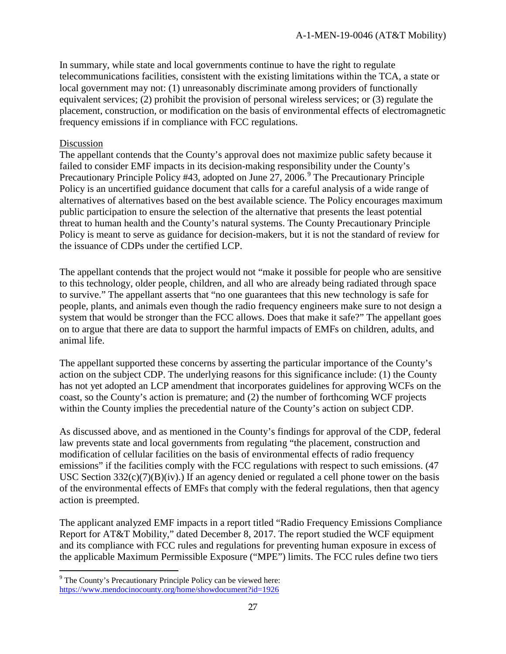In summary, while state and local governments continue to have the right to regulate telecommunications facilities, consistent with the existing limitations within the TCA, a state or local government may not: (1) unreasonably discriminate among providers of functionally equivalent services; (2) prohibit the provision of personal wireless services; or (3) regulate the placement, construction, or modification on the basis of environmental effects of electromagnetic frequency emissions if in compliance with FCC regulations.

#### Discussion

 $\overline{a}$ 

The appellant contends that the County's approval does not maximize public safety because it failed to consider EMF impacts in its decision-making responsibility under the County's Precautionary Principle Policy #43, adopted on June 27, 2006.<sup>[9](#page-26-0)</sup> The Precautionary Principle Policy is an uncertified guidance document that calls for a careful analysis of a wide range of alternatives of alternatives based on the best available science. The Policy encourages maximum public participation to ensure the selection of the alternative that presents the least potential threat to human health and the County's natural systems. The County Precautionary Principle Policy is meant to serve as guidance for decision-makers, but it is not the standard of review for the issuance of CDPs under the certified LCP.

The appellant contends that the project would not "make it possible for people who are sensitive to this technology, older people, children, and all who are already being radiated through space to survive." The appellant asserts that "no one guarantees that this new technology is safe for people, plants, and animals even though the radio frequency engineers make sure to not design a system that would be stronger than the FCC allows. Does that make it safe?" The appellant goes on to argue that there are data to support the harmful impacts of EMFs on children, adults, and animal life.

The appellant supported these concerns by asserting the particular importance of the County's action on the subject CDP. The underlying reasons for this significance include: (1) the County has not yet adopted an LCP amendment that incorporates guidelines for approving WCFs on the coast, so the County's action is premature; and (2) the number of forthcoming WCF projects within the County implies the precedential nature of the County's action on subject CDP.

As discussed above, and as mentioned in the County's findings for approval of the CDP, federal law prevents state and local governments from regulating "the placement, construction and modification of cellular facilities on the basis of environmental effects of radio frequency emissions" if the facilities comply with the FCC regulations with respect to such emissions. (47 USC Section  $332(c)(7)(B)(iv)$ .) If an agency denied or regulated a cell phone tower on the basis of the environmental effects of EMFs that comply with the federal regulations, then that agency action is preempted.

The applicant analyzed EMF impacts in a report titled "Radio Frequency Emissions Compliance Report for AT&T Mobility," dated December 8, 2017. The report studied the WCF equipment and its compliance with FCC rules and regulations for preventing human exposure in excess of the applicable Maximum Permissible Exposure ("MPE") limits. The FCC rules define two tiers

<span id="page-26-0"></span><sup>&</sup>lt;sup>9</sup> The County's Precautionary Principle Policy can be viewed here: <https://www.mendocinocounty.org/home/showdocument?id=1926>